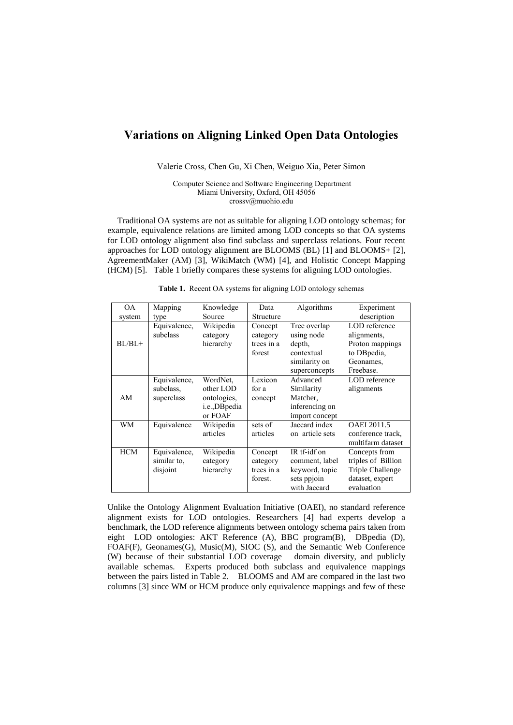## **Variations on Aligning Linked Open Data Ontologies**

Valerie Cross, Chen Gu, Xi Chen, Weiguo Xia, Peter Simon

Computer Science and Software Engineering Department Miami University, Oxford, OH 45056 crossv@muohio.edu

Traditional OA systems are not as suitable for aligning LOD ontology schemas; for example, equivalence relations are limited among LOD concepts so that OA systems for LOD ontology alignment also find subclass and superclass relations. Four recent approaches for LOD ontology alignment are BLOOMS (BL) [1] and BLOOMS+ [2], AgreementMaker (AM) [3], WikiMatch (WM) [4], and Holistic Concept Mapping (HCM) [5]. Table 1 briefly compares these systems for aligning LOD ontologies.

| <b>OA</b>  | Mapping                                 | Knowledge                                                       | Data                                         | Algorithms                                                                           | Experiment                                                                               |  |
|------------|-----------------------------------------|-----------------------------------------------------------------|----------------------------------------------|--------------------------------------------------------------------------------------|------------------------------------------------------------------------------------------|--|
| system     | type                                    | Source                                                          | Structure                                    |                                                                                      | description                                                                              |  |
| $BL/BL+$   | Equivalence,<br>subclass                | Wikipedia<br>category<br>hierarchy                              | Concept<br>category<br>trees in a<br>forest  | Tree overlap<br>using node<br>depth,<br>contextual<br>similarity on<br>superconcepts | LOD reference<br>alignments,<br>Proton mappings<br>to DBpedia,<br>Geonames,<br>Freebase. |  |
| AM         | Equivalence,<br>subclass.<br>superclass | WordNet.<br>other LOD<br>ontologies,<br>i.e.,DBpedia<br>or FOAF | Lexicon<br>for a<br>concept                  | Advanced<br>Similarity<br>Matcher,<br>inferencing on<br>import concept               | LOD reference<br>alignments                                                              |  |
| <b>WM</b>  | Equivalence                             | Wikipedia<br>articles                                           | sets of<br>articles                          | Jaccard index<br>on article sets                                                     | <b>OAEI</b> 2011.5<br>conference track.<br>multifarm dataset                             |  |
| <b>HCM</b> | Equivalence,<br>similar to.<br>disjoint | Wikipedia<br>category<br>hierarchy                              | Concept<br>category<br>trees in a<br>forest. | IR tf-idf on<br>comment, label<br>keyword, topic<br>sets ppjoin<br>with Jaccard      | Concepts from<br>triples of Billion<br>Triple Challenge<br>dataset, expert<br>evaluation |  |

**Table 1.** Recent OA systems for aligning LOD ontology schemas

Unlike the Ontology Alignment Evaluation Initiative (OAEI), no standard reference alignment exists for LOD ontologies. Researchers [4] had experts develop a benchmark, the LOD reference alignments between ontology schema pairs taken from eight LOD ontologies: AKT Reference (A), BBC program(B), DBpedia (D), FOAF(F), Geonames(G), Music(M), SIOC (S), and the Semantic Web Conference (W) because of their substantial LOD coverage domain diversity, and publicly available schemas. Experts produced both subclass and equivalence mappings between the pairs listed in Table 2. BLOOMS and AM are compared in the last two columns [3] since WM or HCM produce only equivalence mappings and few of these